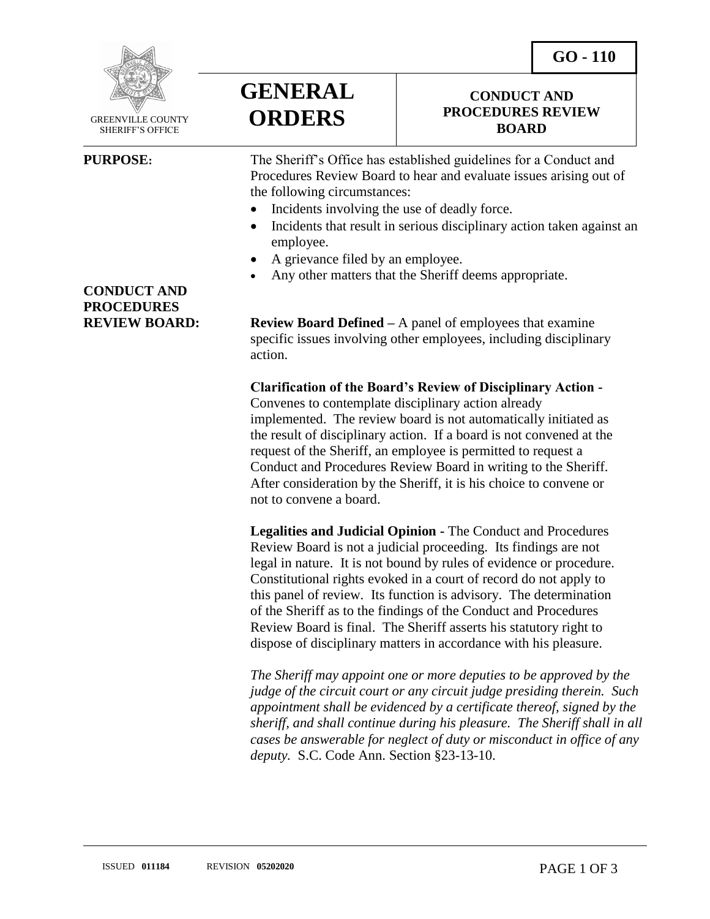**GO - 110** 

**CONDUCT AND PROCEDURES REVIEW BOARD**



 GREENVILLE COUNTY SHERIFF'S OFFICE

 $\overline{a}$ 

## **GENERAL ORDERS**

**PURPOSE:** The Sheriff's Office has established guidelines for a Conduct and Procedures Review Board to hear and evaluate issues arising out of the following circumstances:

- Incidents involving the use of deadly force.
- Incidents that result in serious disciplinary action taken against an employee.
- A grievance filed by an employee.
- Any other matters that the Sheriff deems appropriate.

**REVIEW BOARD: Review Board Defined** – A panel of employees that examine specific issues involving other employees, including disciplinary action.

> **Clarification of the Board's Review of Disciplinary Action -** Convenes to contemplate disciplinary action already implemented. The review board is not automatically initiated as the result of disciplinary action. If a board is not convened at the request of the Sheriff, an employee is permitted to request a Conduct and Procedures Review Board in writing to the Sheriff. After consideration by the Sheriff, it is his choice to convene or not to convene a board.

> **Legalities and Judicial Opinion -** The Conduct and Procedures Review Board is not a judicial proceeding. Its findings are not legal in nature. It is not bound by rules of evidence or procedure. Constitutional rights evoked in a court of record do not apply to this panel of review. Its function is advisory. The determination of the Sheriff as to the findings of the Conduct and Procedures Review Board is final. The Sheriff asserts his statutory right to dispose of disciplinary matters in accordance with his pleasure.

*The Sheriff may appoint one or more deputies to be approved by the judge of the circuit court or any circuit judge presiding therein. Such appointment shall be evidenced by a certificate thereof, signed by the sheriff, and shall continue during his pleasure. The Sheriff shall in all cases be answerable for neglect of duty or misconduct in office of any deputy.* S.C. Code Ann. Section §23-13-10.

**CONDUCT AND PROCEDURES**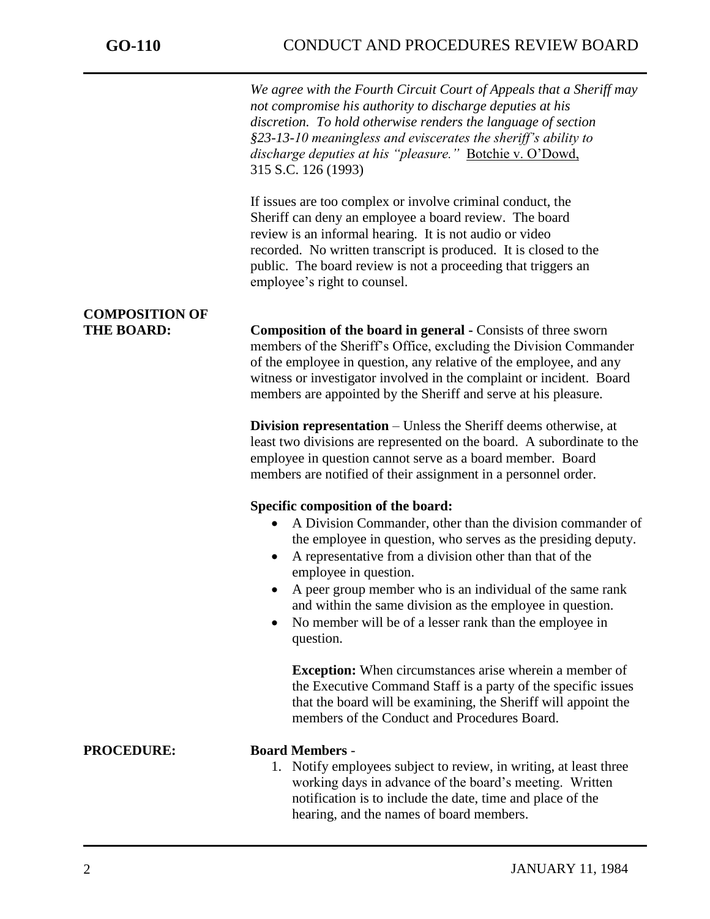j

*We agree with the Fourth Circuit Court of Appeals that a Sheriff may not compromise his authority to discharge deputies at his discretion. To hold otherwise renders the language of section §23-13-10 meaningless and eviscerates the sheriff's ability to discharge deputies at his "pleasure."* Botchie v. O'Dowd, 315 S.C. 126 (1993)

If issues are too complex or involve criminal conduct, the Sheriff can deny an employee a board review. The board review is an informal hearing. It is not audio or video recorded. No written transcript is produced. It is closed to the public. The board review is not a proceeding that triggers an employee's right to counsel.

# **COMPOSITION OF**

**THE BOARD: Composition of the board in general -** Consists of three sworn members of the Sheriff's Office, excluding the Division Commander of the employee in question, any relative of the employee, and any witness or investigator involved in the complaint or incident. Board members are appointed by the Sheriff and serve at his pleasure.

> **Division representation** – Unless the Sheriff deems otherwise, at least two divisions are represented on the board. A subordinate to the employee in question cannot serve as a board member. Board members are notified of their assignment in a personnel order.

### **Specific composition of the board:**

- A Division Commander, other than the division commander of the employee in question, who serves as the presiding deputy.
- A representative from a division other than that of the employee in question.
- A peer group member who is an individual of the same rank and within the same division as the employee in question.
- No member will be of a lesser rank than the employee in question.

**Exception:** When circumstances arise wherein a member of the Executive Command Staff is a party of the specific issues that the board will be examining, the Sheriff will appoint the members of the Conduct and Procedures Board.

### **PROCEDURE: Board Members** -

1. Notify employees subject to review, in writing, at least three working days in advance of the board's meeting. Written notification is to include the date, time and place of the hearing, and the names of board members.